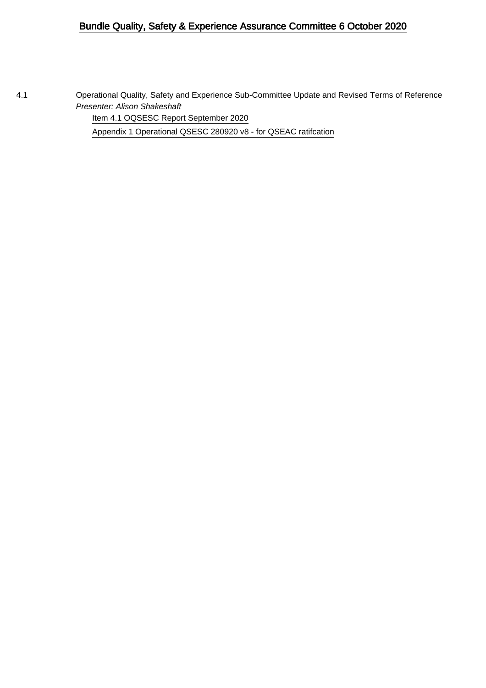## Bundle Quality, Safety & Experience Assurance Committee 6 October 2020

4.1 Operational Quality, Safety and Experience Sub-Committee Update and Revised Terms of Reference Presenter: Alison Shakeshaft

[Item 4.1 OQSESC Report September 2020](#page-1-0)

[Appendix 1 Operational QSESC 280920 v8 - for QSEAC ratifcation](#page-5-0)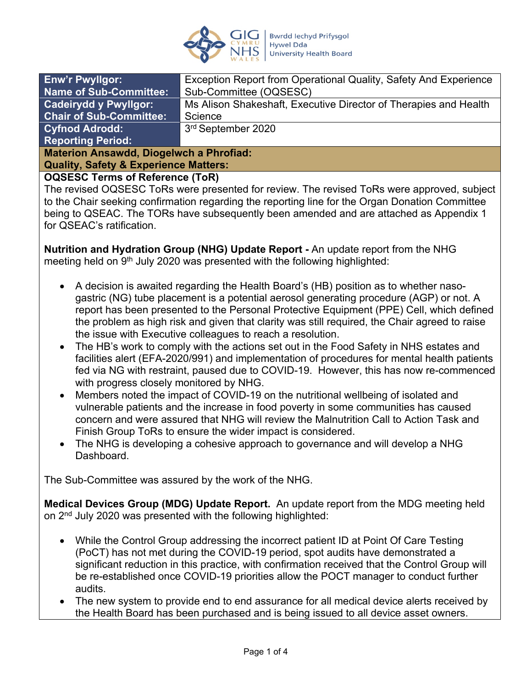

<span id="page-1-0"></span>

| <b>Enw'r Pwyllgor:</b>                                                                                                                                                                                                                                                                                                                                                         | Exception Report from Operational Quality, Safety And Experience |  |
|--------------------------------------------------------------------------------------------------------------------------------------------------------------------------------------------------------------------------------------------------------------------------------------------------------------------------------------------------------------------------------|------------------------------------------------------------------|--|
| <b>Name of Sub-Committee:</b>                                                                                                                                                                                                                                                                                                                                                  | Sub-Committee (OQSESC)                                           |  |
| <b>Cadeirydd y Pwyllgor:</b>                                                                                                                                                                                                                                                                                                                                                   | Ms Alison Shakeshaft, Executive Director of Therapies and Health |  |
| Chair of Sub-Committee:                                                                                                                                                                                                                                                                                                                                                        | Science                                                          |  |
| <b>Cyfnod Adrodd:</b>                                                                                                                                                                                                                                                                                                                                                          | 3rd September 2020                                               |  |
| <b>Reporting Period:</b>                                                                                                                                                                                                                                                                                                                                                       |                                                                  |  |
| <b>Materion Ansawdd, Diogelwch a Phrofiad:</b>                                                                                                                                                                                                                                                                                                                                 |                                                                  |  |
| $\bigcap$ in $\bigcap$ $\bigcap$ $\bigcap$ $\bigcap$ $\bigcap$ $\bigcap$ $\bigcap$ $\bigcap$ $\bigcap$ $\bigcap$ $\bigcap$ $\bigcap$ $\bigcap$ $\bigcap$ $\bigcap$ $\bigcap$ $\bigcap$ $\bigcap$ $\bigcap$ $\bigcap$ $\bigcap$ $\bigcap$ $\bigcap$ $\bigcap$ $\bigcap$ $\bigcap$ $\bigcap$ $\bigcap$ $\bigcap$ $\bigcap$ $\bigcap$ $\bigcap$ $\bigcap$ $\bigcap$ $\bigcap$ $\$ |                                                                  |  |

**Quality, Safety & Experience Matters:**

#### **OQSESC Terms of Reference (ToR)**

The revised OQSESC ToRs were presented for review. The revised ToRs were approved, subject to the Chair seeking confirmation regarding the reporting line for the Organ Donation Committee being to QSEAC. The TORs have subsequently been amended and are attached as Appendix 1 for QSEAC's ratification.

**Nutrition and Hydration Group (NHG) Update Report -** An update report from the NHG meeting held on  $9<sup>th</sup>$  July 2020 was presented with the following highlighted:

- A decision is awaited regarding the Health Board's (HB) position as to whether nasogastric (NG) tube placement is a potential aerosol generating procedure (AGP) or not. A report has been presented to the Personal Protective Equipment (PPE) Cell, which defined the problem as high risk and given that clarity was still required, the Chair agreed to raise the issue with Executive colleagues to reach a resolution.
- The HB's work to comply with the actions set out in the Food Safety in NHS estates and facilities alert (EFA-2020/991) and implementation of procedures for mental health patients fed via NG with restraint, paused due to COVID-19. However, this has now re-commenced with progress closely monitored by NHG.
- Members noted the impact of COVID-19 on the nutritional wellbeing of isolated and vulnerable patients and the increase in food poverty in some communities has caused concern and were assured that NHG will review the Malnutrition Call to Action Task and Finish Group ToRs to ensure the wider impact is considered.
- The NHG is developing a cohesive approach to governance and will develop a NHG **Dashboard**

The Sub-Committee was assured by the work of the NHG.

**Medical Devices Group (MDG) Update Report.** An update report from the MDG meeting held on 2<sup>nd</sup> July 2020 was presented with the following highlighted:

- While the Control Group addressing the incorrect patient ID at Point Of Care Testing (PoCT) has not met during the COVID-19 period, spot audits have demonstrated a significant reduction in this practice, with confirmation received that the Control Group will be re-established once COVID-19 priorities allow the POCT manager to conduct further audits.
- The new system to provide end to end assurance for all medical device alerts received by the Health Board has been purchased and is being issued to all device asset owners.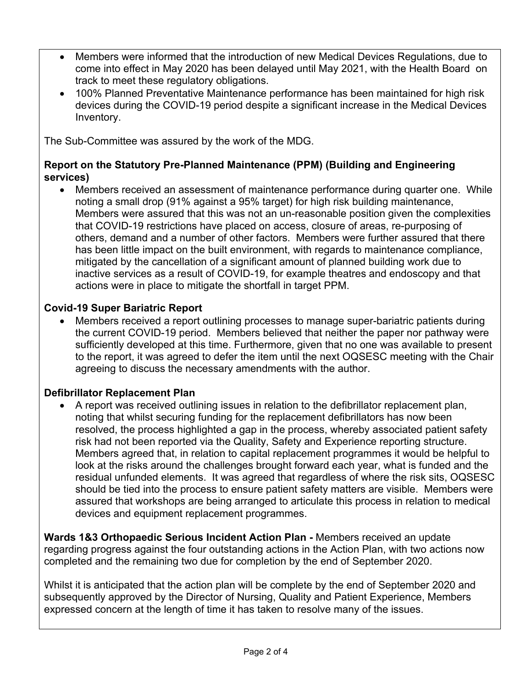- Members were informed that the introduction of new Medical Devices Regulations, due to come into effect in May 2020 has been delayed until May 2021, with the Health Board on track to meet these regulatory obligations.
- 100% Planned Preventative Maintenance performance has been maintained for high risk devices during the COVID-19 period despite a significant increase in the Medical Devices Inventory.

The Sub-Committee was assured by the work of the MDG.

### **Report on the Statutory Pre-Planned Maintenance (PPM) (Building and Engineering services)**

 Members received an assessment of maintenance performance during quarter one. While noting a small drop (91% against a 95% target) for high risk building maintenance, Members were assured that this was not an un-reasonable position given the complexities that COVID-19 restrictions have placed on access, closure of areas, re-purposing of others, demand and a number of other factors. Members were further assured that there has been little impact on the built environment, with regards to maintenance compliance, mitigated by the cancellation of a significant amount of planned building work due to inactive services as a result of COVID-19, for example theatres and endoscopy and that actions were in place to mitigate the shortfall in target PPM.

# **Covid-19 Super Bariatric Report**

 Members received a report outlining processes to manage super-bariatric patients during the current COVID-19 period. Members believed that neither the paper nor pathway were sufficiently developed at this time. Furthermore, given that no one was available to present to the report, it was agreed to defer the item until the next OQSESC meeting with the Chair agreeing to discuss the necessary amendments with the author.

# **Defibrillator Replacement Plan**

 A report was received outlining issues in relation to the defibrillator replacement plan, noting that whilst securing funding for the replacement defibrillators has now been resolved, the process highlighted a gap in the process, whereby associated patient safety risk had not been reported via the Quality, Safety and Experience reporting structure. Members agreed that, in relation to capital replacement programmes it would be helpful to look at the risks around the challenges brought forward each year, what is funded and the residual unfunded elements. It was agreed that regardless of where the risk sits, OQSESC should be tied into the process to ensure patient safety matters are visible. Members were assured that workshops are being arranged to articulate this process in relation to medical devices and equipment replacement programmes.

**Wards 1&3 Orthopaedic Serious Incident Action Plan -** Members received an update regarding progress against the four outstanding actions in the Action Plan, with two actions now completed and the remaining two due for completion by the end of September 2020.

Whilst it is anticipated that the action plan will be complete by the end of September 2020 and subsequently approved by the Director of Nursing, Quality and Patient Experience, Members expressed concern at the length of time it has taken to resolve many of the issues.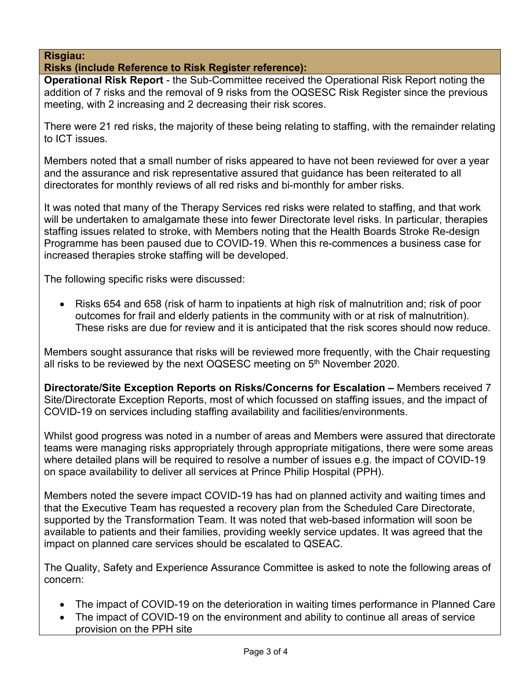### **Risgiau:**

#### **Risks (include Reference to Risk Register reference):**

**Operational Risk Report** - the Sub-Committee received the Operational Risk Report noting the addition of 7 risks and the removal of 9 risks from the OQSESC Risk Register since the previous meeting, with 2 increasing and 2 decreasing their risk scores.

There were 21 red risks, the majority of these being relating to staffing, with the remainder relating to ICT issues.

Members noted that a small number of risks appeared to have not been reviewed for over a year and the assurance and risk representative assured that guidance has been reiterated to all directorates for monthly reviews of all red risks and bi-monthly for amber risks.

It was noted that many of the Therapy Services red risks were related to staffing, and that work will be undertaken to amalgamate these into fewer Directorate level risks. In particular, therapies staffing issues related to stroke, with Members noting that the Health Boards Stroke Re-design Programme has been paused due to COVID-19. When this re-commences a business case for increased therapies stroke staffing will be developed.

The following specific risks were discussed:

• Risks 654 and 658 (risk of harm to inpatients at high risk of malnutrition and; risk of poor outcomes for frail and elderly patients in the community with or at risk of malnutrition). These risks are due for review and it is anticipated that the risk scores should now reduce.

Members sought assurance that risks will be reviewed more frequently, with the Chair requesting all risks to be reviewed by the next OQSESC meeting on 5<sup>th</sup> November 2020.

**Directorate/Site Exception Reports on Risks/Concerns for Escalation –** Members received 7 Site/Directorate Exception Reports, most of which focussed on staffing issues, and the impact of COVID-19 on services including staffing availability and facilities/environments.

Whilst good progress was noted in a number of areas and Members were assured that directorate teams were managing risks appropriately through appropriate mitigations, there were some areas where detailed plans will be required to resolve a number of issues e.g. the impact of COVID-19 on space availability to deliver all services at Prince Philip Hospital (PPH).

Members noted the severe impact COVID-19 has had on planned activity and waiting times and that the Executive Team has requested a recovery plan from the Scheduled Care Directorate, supported by the Transformation Team. It was noted that web-based information will soon be available to patients and their families, providing weekly service updates. It was agreed that the impact on planned care services should be escalated to QSEAC.

The Quality, Safety and Experience Assurance Committee is asked to note the following areas of concern:

- The impact of COVID-19 on the deterioration in waiting times performance in Planned Care
- The impact of COVID-19 on the environment and ability to continue all areas of service provision on the PPH site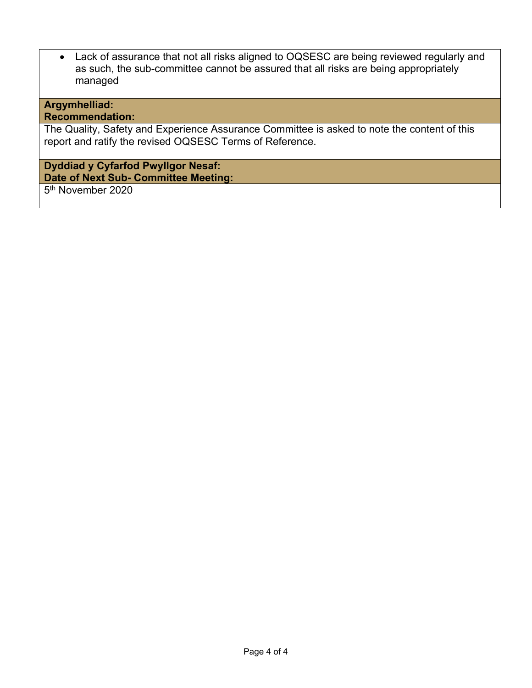Lack of assurance that not all risks aligned to OQSESC are being reviewed regularly and as such, the sub-committee cannot be assured that all risks are being appropriately managed

# **Argymhelliad:**

# **Recommendation:**

The Quality, Safety and Experience Assurance Committee is asked to note the content of this report and ratify the revised OQSESC Terms of Reference.

#### **Dyddiad y Cyfarfod Pwyllgor Nesaf: Date of Next Sub- Committee Meeting:**

5<sup>th</sup> November 2020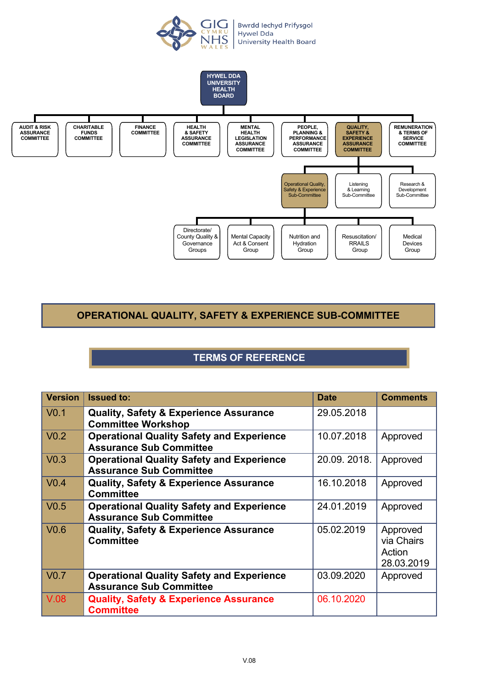

<span id="page-5-0"></span>

# **OPERATIONAL QUALITY, SAFETY & EXPERIENCE SUB-COMMITTEE**

# **TERMS OF REFERENCE**

| <b>Version</b> | <b>Issued to:</b>                                                                  | <b>Date</b> | <b>Comments</b>                                |
|----------------|------------------------------------------------------------------------------------|-------------|------------------------------------------------|
| $\sqrt{0.1}$   | <b>Quality, Safety &amp; Experience Assurance</b><br><b>Committee Workshop</b>     | 29.05.2018  |                                                |
| $\sqrt{0.2}$   | <b>Operational Quality Safety and Experience</b><br><b>Assurance Sub Committee</b> | 10.07.2018  | Approved                                       |
| $\sqrt{0.3}$   | <b>Operational Quality Safety and Experience</b><br><b>Assurance Sub Committee</b> | 20.09.2018. | Approved                                       |
| $\sqrt{0.4}$   | <b>Quality, Safety &amp; Experience Assurance</b><br><b>Committee</b>              | 16.10.2018  | Approved                                       |
| $\sqrt{0.5}$   | <b>Operational Quality Safety and Experience</b><br><b>Assurance Sub Committee</b> | 24.01.2019  | Approved                                       |
| $\sqrt{0.6}$   | <b>Quality, Safety &amp; Experience Assurance</b><br><b>Committee</b>              | 05.02.2019  | Approved<br>via Chairs<br>Action<br>28.03.2019 |
| $\sqrt{0.7}$   | <b>Operational Quality Safety and Experience</b><br><b>Assurance Sub Committee</b> | 03.09.2020  | Approved                                       |
| $\sqrt{0.08}$  | <b>Quality, Safety &amp; Experience Assurance</b><br><b>Committee</b>              | 06.10.2020  |                                                |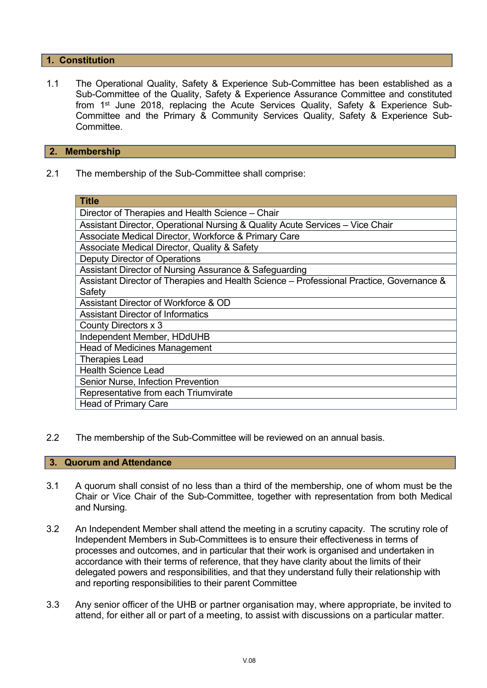#### **1. Constitution**

1.1 The Operational Quality, Safety & Experience Sub-Committee has been established as a Sub-Committee of the Quality, Safety & Experience Assurance Committee and constituted from 1<sup>st</sup> June 2018, replacing the Acute Services Quality, Safety & Experience Sub-Committee and the Primary & Community Services Quality, Safety & Experience Sub-**Committee.** 

#### **2. Membership**

2.1 The membership of the Sub-Committee shall comprise:

| <b>Title</b>                                                                             |  |  |
|------------------------------------------------------------------------------------------|--|--|
| Director of Therapies and Health Science – Chair                                         |  |  |
| Assistant Director, Operational Nursing & Quality Acute Services - Vice Chair            |  |  |
| Associate Medical Director, Workforce & Primary Care                                     |  |  |
| Associate Medical Director, Quality & Safety                                             |  |  |
| Deputy Director of Operations                                                            |  |  |
| Assistant Director of Nursing Assurance & Safeguarding                                   |  |  |
| Assistant Director of Therapies and Health Science - Professional Practice, Governance & |  |  |
| Safety                                                                                   |  |  |
| Assistant Director of Workforce & OD                                                     |  |  |
| <b>Assistant Director of Informatics</b>                                                 |  |  |
| County Directors x 3                                                                     |  |  |
| Independent Member, HDdUHB                                                               |  |  |
| <b>Head of Medicines Management</b>                                                      |  |  |
| <b>Therapies Lead</b>                                                                    |  |  |
| <b>Health Science Lead</b>                                                               |  |  |
| Senior Nurse, Infection Prevention                                                       |  |  |
| Representative from each Triumvirate                                                     |  |  |
| <b>Head of Primary Care</b>                                                              |  |  |

2.2 The membership of the Sub-Committee will be reviewed on an annual basis.

#### **3. Quorum and Attendance**

- 3.1 A quorum shall consist of no less than a third of the membership, one of whom must be the Chair or Vice Chair of the Sub-Committee, together with representation from both Medical and Nursing.
- 3.2 An Independent Member shall attend the meeting in a scrutiny capacity. The scrutiny role of Independent Members in Sub-Committees is to ensure their effectiveness in terms of processes and outcomes, and in particular that their work is organised and undertaken in accordance with their terms of reference, that they have clarity about the limits of their delegated powers and responsibilities, and that they understand fully their relationship with and reporting responsibilities to their parent Committee
- 3.3 Any senior officer of the UHB or partner organisation may, where appropriate, be invited to attend, for either all or part of a meeting, to assist with discussions on a particular matter.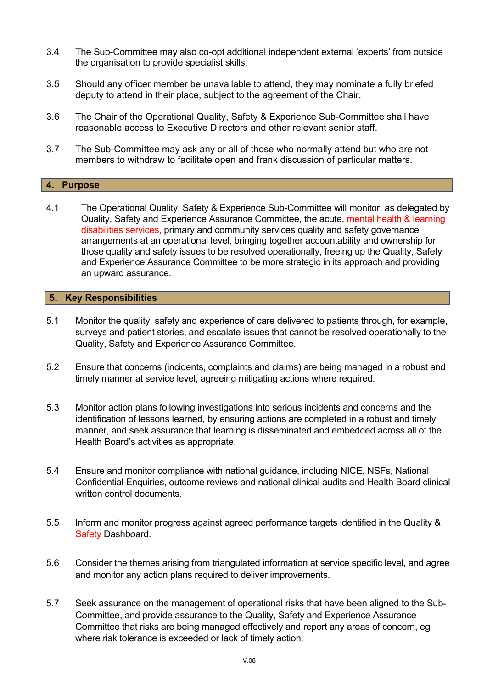- 3.4 The Sub-Committee may also co-opt additional independent external 'experts' from outside the organisation to provide specialist skills.
- 3.5 Should any officer member be unavailable to attend, they may nominate a fully briefed deputy to attend in their place, subject to the agreement of the Chair.
- 3.6 The Chair of the Operational Quality, Safety & Experience Sub-Committee shall have reasonable access to Executive Directors and other relevant senior staff.
- 3.7 The Sub-Committee may ask any or all of those who normally attend but who are not members to withdraw to facilitate open and frank discussion of particular matters.

#### **4. Purpose**

4.1 The Operational Quality, Safety & Experience Sub-Committee will monitor, as delegated by Quality, Safety and Experience Assurance Committee, the acute, mental health & learning disabilities services, primary and community services quality and safety governance arrangements at an operational level, bringing together accountability and ownership for those quality and safety issues to be resolved operationally, freeing up the Quality, Safety and Experience Assurance Committee to be more strategic in its approach and providing an upward assurance.

#### **5. Key Responsibilities**

- 5.1 Monitor the quality, safety and experience of care delivered to patients through, for example, surveys and patient stories, and escalate issues that cannot be resolved operationally to the Quality, Safety and Experience Assurance Committee.
- 5.2 Ensure that concerns (incidents, complaints and claims) are being managed in a robust and timely manner at service level, agreeing mitigating actions where required.
- 5.3 Monitor action plans following investigations into serious incidents and concerns and the identification of lessons learned, by ensuring actions are completed in a robust and timely manner, and seek assurance that learning is disseminated and embedded across all of the Health Board's activities as appropriate.
- 5.4 Ensure and monitor compliance with national guidance, including NICE, NSFs, National Confidential Enquiries, outcome reviews and national clinical audits and Health Board clinical written control documents.
- 5.5 Inform and monitor progress against agreed performance targets identified in the Quality & Safety Dashboard.
- 5.6 Consider the themes arising from triangulated information at service specific level, and agree and monitor any action plans required to deliver improvements.
- 5.7 Seek assurance on the management of operational risks that have been aligned to the Sub-Committee, and provide assurance to the Quality, Safety and Experience Assurance Committee that risks are being managed effectively and report any areas of concern, eg where risk tolerance is exceeded or lack of timely action.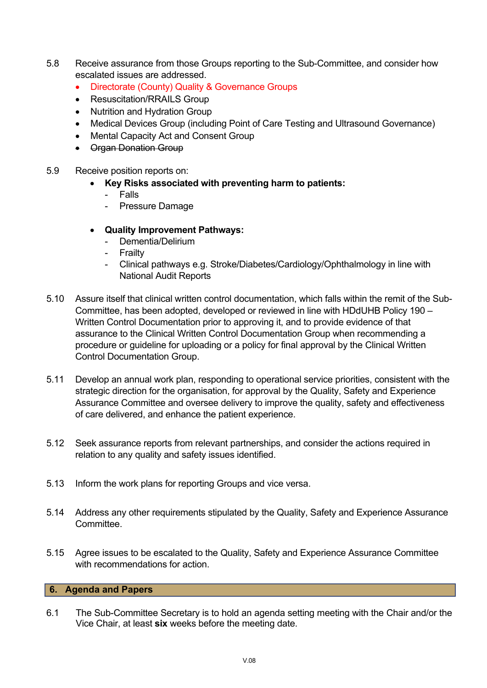- 5.8 Receive assurance from those Groups reporting to the Sub-Committee, and consider how escalated issues are addressed.
	- Directorate (County) Quality & Governance Groups
	- Resuscitation/RRAILS Group
	- Nutrition and Hydration Group
	- Medical Devices Group (including Point of Care Testing and Ultrasound Governance)
	- Mental Capacity Act and Consent Group
	- Organ Donation Group
- 5.9 Receive position reports on:
	- **Key Risks associated with preventing harm to patients:**
		- Falls
		- Pressure Damage
	- **Quality Improvement Pathways:**
		- Dementia/Delirium
		- **Frailty**
		- Clinical pathways e.g. Stroke/Diabetes/Cardiology/Ophthalmology in line with National Audit Reports
- 5.10 Assure itself that clinical written control documentation, which falls within the remit of the Sub-Committee, has been adopted, developed or reviewed in line with HDdUHB Policy 190 – Written Control Documentation prior to approving it, and to provide evidence of that assurance to the Clinical Written Control Documentation Group when recommending a procedure or guideline for uploading or a policy for final approval by the Clinical Written Control Documentation Group.
- 5.11 Develop an annual work plan, responding to operational service priorities, consistent with the strategic direction for the organisation, for approval by the Quality, Safety and Experience Assurance Committee and oversee delivery to improve the quality, safety and effectiveness of care delivered, and enhance the patient experience.
- 5.12 Seek assurance reports from relevant partnerships, and consider the actions required in relation to any quality and safety issues identified.
- 5.13 Inform the work plans for reporting Groups and vice versa.
- 5.14 Address any other requirements stipulated by the Quality, Safety and Experience Assurance **Committee.**
- 5.15 Agree issues to be escalated to the Quality, Safety and Experience Assurance Committee with recommendations for action

#### **6. Agenda and Papers**

6.1 The Sub-Committee Secretary is to hold an agenda setting meeting with the Chair and/or the Vice Chair, at least **six** weeks before the meeting date.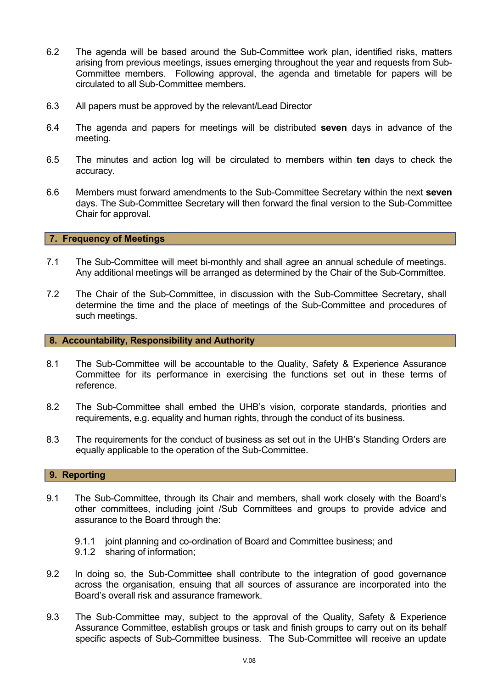- 6.2 The agenda will be based around the Sub-Committee work plan, identified risks, matters arising from previous meetings, issues emerging throughout the year and requests from Sub-Committee members. Following approval, the agenda and timetable for papers will be circulated to all Sub-Committee members.
- 6.3 All papers must be approved by the relevant/Lead Director
- 6.4 The agenda and papers for meetings will be distributed **seven** days in advance of the meeting.
- 6.5 The minutes and action log will be circulated to members within **ten** days to check the accuracy.
- 6.6 Members must forward amendments to the Sub-Committee Secretary within the next **seven** days. The Sub-Committee Secretary will then forward the final version to the Sub-Committee Chair for approval.

#### **7. Frequency of Meetings**

- 7.1 The Sub-Committee will meet bi-monthly and shall agree an annual schedule of meetings. Any additional meetings will be arranged as determined by the Chair of the Sub-Committee.
- 7.2 The Chair of the Sub-Committee, in discussion with the Sub-Committee Secretary, shall determine the time and the place of meetings of the Sub-Committee and procedures of such meetings.

#### **8. Accountability, Responsibility and Authority**

- 8.1 The Sub-Committee will be accountable to the Quality, Safety & Experience Assurance Committee for its performance in exercising the functions set out in these terms of reference.
- 8.2 The Sub-Committee shall embed the UHB's vision, corporate standards, priorities and requirements, e.g. equality and human rights, through the conduct of its business.
- 8.3 The requirements for the conduct of business as set out in the UHB's Standing Orders are equally applicable to the operation of the Sub-Committee.

#### **9. Reporting**

- 9.1 The Sub-Committee, through its Chair and members, shall work closely with the Board's other committees, including joint /Sub Committees and groups to provide advice and assurance to the Board through the:
	- 9.1.1 joint planning and co-ordination of Board and Committee business; and 9.1.2 sharing of information;
- 9.2 In doing so, the Sub-Committee shall contribute to the integration of good governance across the organisation, ensuing that all sources of assurance are incorporated into the Board's overall risk and assurance framework.
- 9.3 The Sub-Committee may, subject to the approval of the Quality, Safety & Experience Assurance Committee, establish groups or task and finish groups to carry out on its behalf specific aspects of Sub-Committee business. The Sub-Committee will receive an update